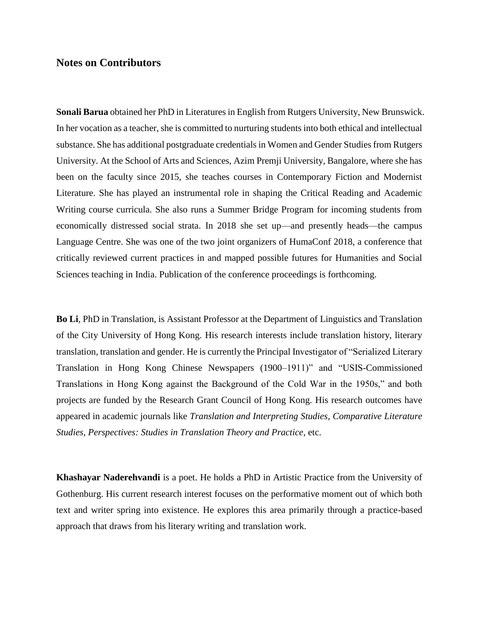## **Notes on Contributors**

**Sonali Barua** obtained her PhD in Literatures in English from Rutgers University, New Brunswick. In her vocation as a teacher, she is committed to nurturing students into both ethical and intellectual substance. She has additional postgraduate credentials in Women and Gender Studies from Rutgers University. At the School of Arts and Sciences, Azim Premji University, Bangalore, where she has been on the faculty since 2015, she teaches courses in Contemporary Fiction and Modernist Literature. She has played an instrumental role in shaping the Critical Reading and Academic Writing course curricula. She also runs a Summer Bridge Program for incoming students from economically distressed social strata. In 2018 she set up—and presently heads—the campus Language Centre. She was one of the two joint organizers of HumaConf 2018, a conference that critically reviewed current practices in and mapped possible futures for Humanities and Social Sciences teaching in India. Publication of the conference proceedings is forthcoming.

**Bo Li**, PhD in Translation, is Assistant Professor at the Department of Linguistics and Translation of the City University of Hong Kong. His research interests include translation history, literary translation, translation and gender. He is currently the Principal Investigator of "Serialized Literary Translation in Hong Kong Chinese Newspapers (1900–1911)" and "USIS-Commissioned Translations in Hong Kong against the Background of the Cold War in the 1950s," and both projects are funded by the Research Grant Council of Hong Kong. His research outcomes have appeared in academic journals like *Translation and Interpreting Studies*, *Comparative Literature Studies*, *Perspectives: Studies in Translation Theory and Practice*, etc.

**Khashayar Naderehvandi** is a poet. He holds a PhD in Artistic Practice from the University of Gothenburg. His current research interest focuses on the performative moment out of which both text and writer spring into existence. He explores this area primarily through a practice-based approach that draws from his literary writing and translation work.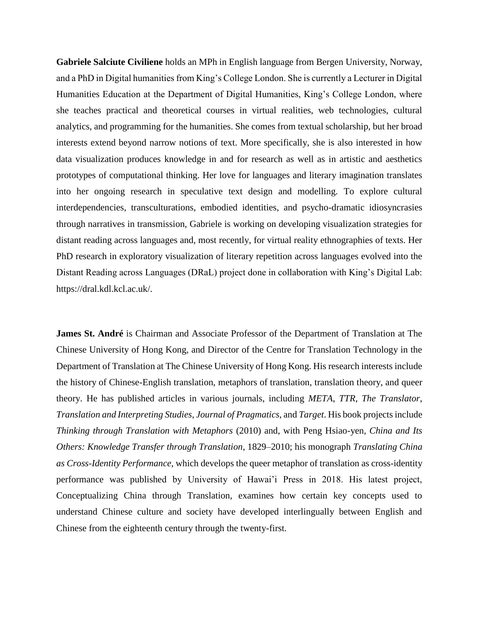**Gabriele Salciute Civiliene** holds an MPh in English language from Bergen University, Norway, and a PhD in Digital humanities from King's College London. She is currently a Lecturer in Digital Humanities Education at the Department of Digital Humanities, King's College London, where she teaches practical and theoretical courses in virtual realities, web technologies, cultural analytics, and programming for the humanities. She comes from textual scholarship, but her broad interests extend beyond narrow notions of text. More specifically, she is also interested in how data visualization produces knowledge in and for research as well as in artistic and aesthetics prototypes of computational thinking. Her love for languages and literary imagination translates into her ongoing research in speculative text design and modelling. To explore cultural interdependencies, transculturations, embodied identities, and psycho-dramatic idiosyncrasies through narratives in transmission, Gabriele is working on developing visualization strategies for distant reading across languages and, most recently, for virtual reality ethnographies of texts. Her PhD research in exploratory visualization of literary repetition across languages evolved into the Distant Reading across Languages (DRaL) project done in collaboration with King's Digital Lab: https://dral.kdl.kcl.ac.uk/.

**James St. André** is Chairman and Associate Professor of the Department of Translation at The Chinese University of Hong Kong, and Director of the Centre for Translation Technology in the Department of Translation at The Chinese University of Hong Kong. His research interests include the history of Chinese-English translation, metaphors of translation, translation theory, and queer theory. He has published articles in various journals, including *META*, *TTR*, *The Translator*, *Translation and Interpreting Studies*, *Journal of Pragmatics*, and *Target*. His book projects include *Thinking through Translation with Metaphors* (2010) and, with Peng Hsiao-yen, *China and Its Others: Knowledge Transfer through Translation*, 1829–2010; his monograph *Translating China as Cross-Identity Performance*, which develops the queer metaphor of translation as cross-identity performance was published by University of Hawai'i Press in 2018. His latest project, Conceptualizing China through Translation, examines how certain key concepts used to understand Chinese culture and society have developed interlingually between English and Chinese from the eighteenth century through the twenty-first.